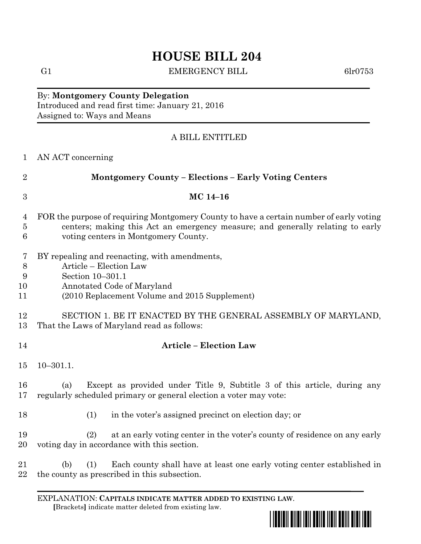# **HOUSE BILL 204**

G1 EMERGENCY BILL 6lr0753

By: **Montgomery County Delegation** Introduced and read first time: January 21, 2016 Assigned to: Ways and Means

## A BILL ENTITLED

| $\mathbf{1}$             | AN ACT concerning                                                                                                                                                                                                 |
|--------------------------|-------------------------------------------------------------------------------------------------------------------------------------------------------------------------------------------------------------------|
| $\overline{2}$           | <b>Montgomery County - Elections - Early Voting Centers</b>                                                                                                                                                       |
| $\boldsymbol{3}$         | MC 14-16                                                                                                                                                                                                          |
| 4<br>$\overline{5}$<br>6 | FOR the purpose of requiring Montgomery County to have a certain number of early voting<br>centers; making this Act an emergency measure; and generally relating to early<br>voting centers in Montgomery County. |
| 7<br>8<br>9<br>10<br>11  | BY repealing and reenacting, with amendments,<br>Article - Election Law<br>Section 10-301.1<br>Annotated Code of Maryland<br>(2010 Replacement Volume and 2015 Supplement)                                        |
| 12<br>13                 | SECTION 1. BE IT ENACTED BY THE GENERAL ASSEMBLY OF MARYLAND,<br>That the Laws of Maryland read as follows:                                                                                                       |
| 14                       | <b>Article - Election Law</b>                                                                                                                                                                                     |
| 15                       | $10 - 301.1.$                                                                                                                                                                                                     |
| 16<br>17                 | Except as provided under Title 9, Subtitle 3 of this article, during any<br>(a)<br>regularly scheduled primary or general election a voter may vote:                                                              |
| 18                       | (1)<br>in the voter's assigned precinct on election day; or                                                                                                                                                       |
| 19<br>20                 | at an early voting center in the voter's county of residence on any early<br>(2)<br>voting day in accordance with this section.                                                                                   |
| 21<br>22                 | Each county shall have at least one early voting center established in<br>(1)<br>(b)<br>the county as prescribed in this subsection.                                                                              |

EXPLANATION: **CAPITALS INDICATE MATTER ADDED TO EXISTING LAW**.  **[**Brackets**]** indicate matter deleted from existing law.

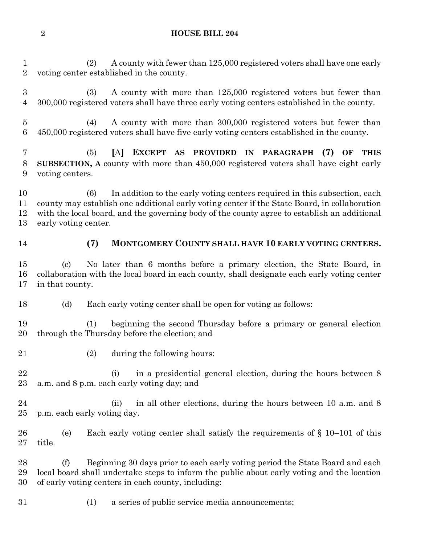#### **HOUSE BILL 204**

 (2) A county with fewer than 125,000 registered voters shall have one early voting center established in the county.

 (3) A county with more than 125,000 registered voters but fewer than 300,000 registered voters shall have three early voting centers established in the county.

 (4) A county with more than 300,000 registered voters but fewer than 450,000 registered voters shall have five early voting centers established in the county.

 (5) **[**A**] EXCEPT AS PROVIDED IN PARAGRAPH (7) OF THIS SUBSECTION, A** county with more than 450,000 registered voters shall have eight early voting centers.

 (6) In addition to the early voting centers required in this subsection, each county may establish one additional early voting center if the State Board, in collaboration with the local board, and the governing body of the county agree to establish an additional early voting center.

### **(7) MONTGOMERY COUNTY SHALL HAVE 10 EARLY VOTING CENTERS.**

 (c) No later than 6 months before a primary election, the State Board, in collaboration with the local board in each county, shall designate each early voting center in that county.

(d) Each early voting center shall be open for voting as follows:

 (1) beginning the second Thursday before a primary or general election through the Thursday before the election; and

(2) during the following hours:

22 (i) in a presidential general election, during the hours between 8 a.m. and 8 p.m. each early voting day; and

24 (ii) in all other elections, during the hours between 10 a.m. and 8 p.m. each early voting day.

 (e) Each early voting center shall satisfy the requirements of § 10–101 of this title.

 (f) Beginning 30 days prior to each early voting period the State Board and each local board shall undertake steps to inform the public about early voting and the location of early voting centers in each county, including:

(1) a series of public service media announcements;